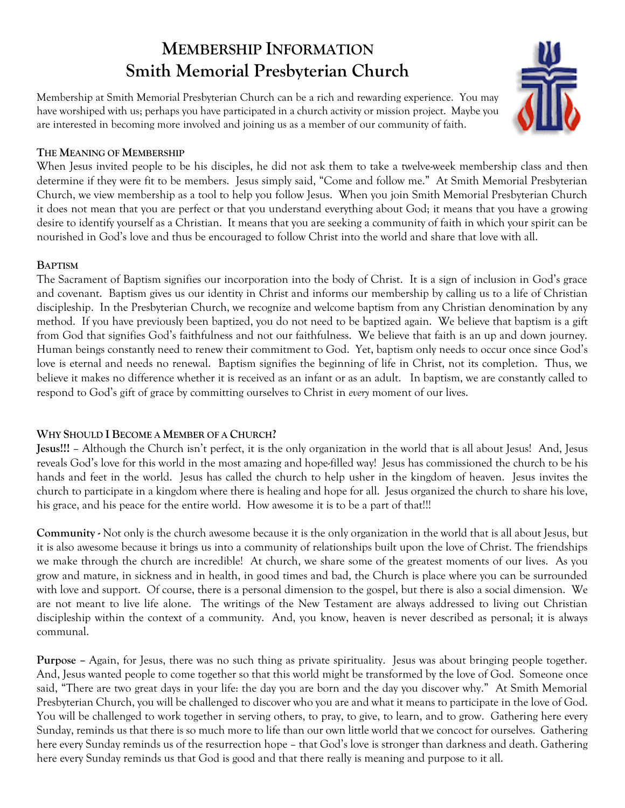# **MEMBERSHIP INFORMATION Smith Memorial Presbyterian Church**

Membership at Smith Memorial Presbyterian Church can be a rich and rewarding experience. You may have worshiped with us; perhaps you have participated in a church activity or mission project. Maybe you are interested in becoming more involved and joining us as a member of our community of faith.



#### **THE MEANING OF MEMBERSHIP**

When Jesus invited people to be his disciples, he did not ask them to take a twelve-week membership class and then determine if they were fit to be members. Jesus simply said, "Come and follow me." At Smith Memorial Presbyterian Church, we view membership as a tool to help you follow Jesus. When you join Smith Memorial Presbyterian Church it does not mean that you are perfect or that you understand everything about God; it means that you have a growing desire to identify yourself as a Christian. It means that you are seeking a community of faith in which your spirit can be nourished in God's love and thus be encouraged to follow Christ into the world and share that love with all.

#### **BAPTISM**

The Sacrament of Baptism signifies our incorporation into the body of Christ. It is a sign of inclusion in God's grace and covenant. Baptism gives us our identity in Christ and informs our membership by calling us to a life of Christian discipleship. In the Presbyterian Church, we recognize and welcome baptism from any Christian denomination by any method. If you have previously been baptized, you do not need to be baptized again. We believe that baptism is a gift from God that signifies God's faithfulness and not our faithfulness. We believe that faith is an up and down journey. Human beings constantly need to renew their commitment to God. Yet, baptism only needs to occur once since God's love is eternal and needs no renewal. Baptism signifies the beginning of life in Christ, not its completion. Thus, we believe it makes no difference whether it is received as an infant or as an adult. In baptism, we are constantly called to respond to God's gift of grace by committing ourselves to Christ in *every* moment of our lives.

### **WHY SHOULD I BECOME A MEMBER OF A CHURCH?**

**Jesus!!!** – Although the Church isn't perfect, it is the only organization in the world that is all about Jesus! And, Jesus reveals God's love for this world in the most amazing and hope-filled way! Jesus has commissioned the church to be his hands and feet in the world. Jesus has called the church to help usher in the kingdom of heaven. Jesus invites the church to participate in a kingdom where there is healing and hope for all. Jesus organized the church to share his love, his grace, and his peace for the entire world. How awesome it is to be a part of that!!!

**Community -** Not only is the church awesome because it is the only organization in the world that is all about Jesus, but it is also awesome because it brings us into a community of relationships built upon the love of Christ. The friendships we make through the church are incredible! At church, we share some of the greatest moments of our lives. As you grow and mature, in sickness and in health, in good times and bad, the Church is place where you can be surrounded with love and support. Of course, there is a personal dimension to the gospel, but there is also a social dimension. We are not meant to live life alone. The writings of the New Testament are always addressed to living out Christian discipleship within the context of a community. And, you know, heaven is never described as personal; it is always communal.

**Purpose –** Again, for Jesus, there was no such thing as private spirituality. Jesus was about bringing people together. And, Jesus wanted people to come together so that this world might be transformed by the love of God. Someone once said, "There are two great days in your life: the day you are born and the day you discover why." At Smith Memorial Presbyterian Church, you will be challenged to discover who you are and what it means to participate in the love of God. You will be challenged to work together in serving others, to pray, to give, to learn, and to grow. Gathering here every Sunday, reminds us that there is so much more to life than our own little world that we concoct for ourselves. Gathering here every Sunday reminds us of the resurrection hope – that God's love is stronger than darkness and death. Gathering here every Sunday reminds us that God is good and that there really is meaning and purpose to it all.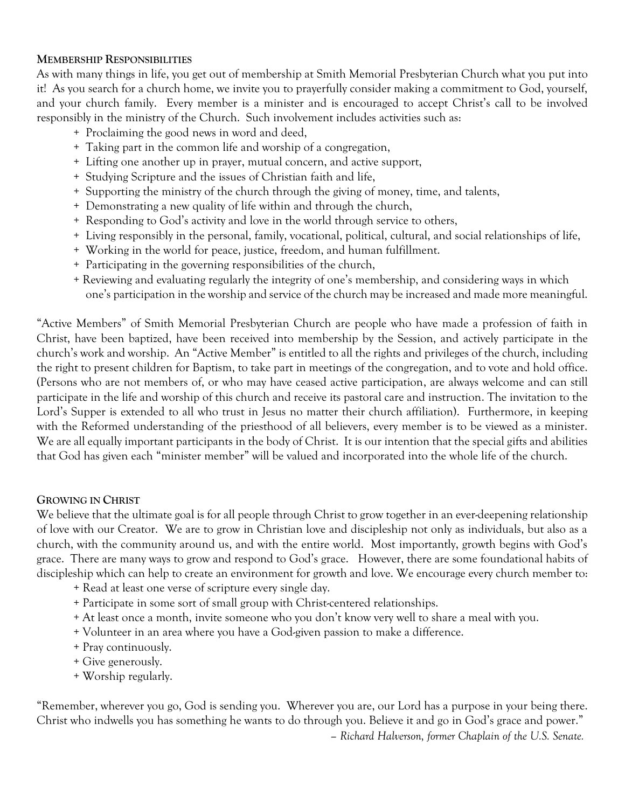#### **MEMBERSHIP RESPONSIBILITIES**

As with many things in life, you get out of membership at Smith Memorial Presbyterian Church what you put into it! As you search for a church home, we invite you to prayerfully consider making a commitment to God, yourself, and your church family. Every member is a minister and is encouraged to accept Christ's call to be involved responsibly in the ministry of the Church. Such involvement includes activities such as:

- + Proclaiming the good news in word and deed,
- + Taking part in the common life and worship of a congregation,
- + Lifting one another up in prayer, mutual concern, and active support,
- + Studying Scripture and the issues of Christian faith and life,
- + Supporting the ministry of the church through the giving of money, time, and talents,
- + Demonstrating a new quality of life within and through the church,
- + Responding to God's activity and love in the world through service to others,
- + Living responsibly in the personal, family, vocational, political, cultural, and social relationships of life,
- + Working in the world for peace, justice, freedom, and human fulfillment.
- + Participating in the governing responsibilities of the church,
- + Reviewing and evaluating regularly the integrity of one's membership, and considering ways in which one's participation in the worship and service of the church may be increased and made more meaningful.

"Active Members" of Smith Memorial Presbyterian Church are people who have made a profession of faith in Christ, have been baptized, have been received into membership by the Session, and actively participate in the church's work and worship. An "Active Member" is entitled to all the rights and privileges of the church, including the right to present children for Baptism, to take part in meetings of the congregation, and to vote and hold office. (Persons who are not members of, or who may have ceased active participation, are always welcome and can still participate in the life and worship of this church and receive its pastoral care and instruction. The invitation to the Lord's Supper is extended to all who trust in Jesus no matter their church affiliation). Furthermore, in keeping with the Reformed understanding of the priesthood of all believers, every member is to be viewed as a minister. We are all equally important participants in the body of Christ. It is our intention that the special gifts and abilities that God has given each "minister member" will be valued and incorporated into the whole life of the church.

#### **GROWING IN CHRIST**

We believe that the ultimate goal is for all people through Christ to grow together in an ever-deepening relationship of love with our Creator. We are to grow in Christian love and discipleship not only as individuals, but also as a church, with the community around us, and with the entire world. Most importantly, growth begins with God's grace. There are many ways to grow and respond to God's grace. However, there are some foundational habits of discipleship which can help to create an environment for growth and love. We encourage every church member to:

- + Read at least one verse of scripture every single day.
- + Participate in some sort of small group with Christ-centered relationships.
- + At least once a month, invite someone who you don't know very well to share a meal with you.
- + Volunteer in an area where you have a God-given passion to make a difference.
- + Pray continuously.
- + Give generously.
- + Worship regularly.

"Remember, wherever you go, God is sending you. Wherever you are, our Lord has a purpose in your being there. Christ who indwells you has something he wants to do through you. Believe it and go in God's grace and power."

*– Richard Halverson, former Chaplain of the U.S. Senate.*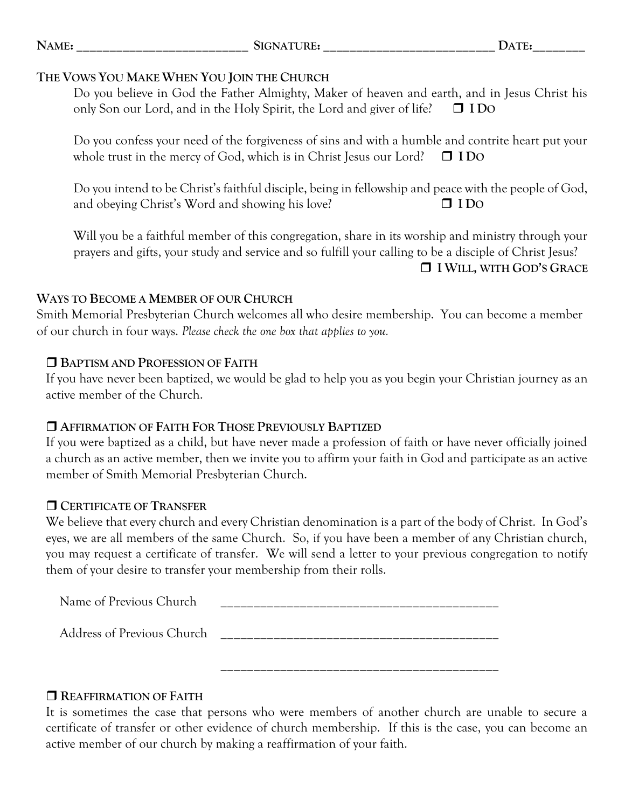| <b>NAME</b> |
|-------------|
|-------------|

## **THE VOWS YOU MAKE WHEN YOU JOIN THE CHURCH**

Do you believe in God the Father Almighty, Maker of heaven and earth, and in Jesus Christ his only Son our Lord, and in the Holy Spirit, the Lord and giver of life? **I DO**

Do you confess your need of the forgiveness of sins and with a humble and contrite heart put your whole trust in the mercy of God, which is in Christ Jesus our Lord?  $\Box$  **IDO** 

Do you intend to be Christ's faithful disciple, being in fellowship and peace with the people of God, and obeying Christ's Word and showing his love? **I DO**

Will you be a faithful member of this congregation, share in its worship and ministry through your prayers and gifts, your study and service and so fulfill your calling to be a disciple of Christ Jesus? **I WILL, WITH GOD'S GRACE**

## **WAYS TO BECOME A MEMBER OF OUR CHURCH**

Smith Memorial Presbyterian Church welcomes all who desire membership. You can become a member of our church in four ways. *Please check the one box that applies to you.*

## **BAPTISM AND PROFESSION OF FAITH**

If you have never been baptized, we would be glad to help you as you begin your Christian journey as an active member of the Church.

# **AFFIRMATION OF FAITH FOR THOSE PREVIOUSLY BAPTIZED**

If you were baptized as a child, but have never made a profession of faith or have never officially joined a church as an active member, then we invite you to affirm your faith in God and participate as an active member of Smith Memorial Presbyterian Church.

# **CERTIFICATE OF TRANSFER**

We believe that every church and every Christian denomination is a part of the body of Christ. In God's eyes, we are all members of the same Church. So, if you have been a member of any Christian church, you may request a certificate of transfer. We will send a letter to your previous congregation to notify them of your desire to transfer your membership from their rolls.

| Address of Previous Church |  |
|----------------------------|--|
| Name of Previous Church    |  |

# **REAFFIRMATION OF FAITH**

It is sometimes the case that persons who were members of another church are unable to secure a certificate of transfer or other evidence of church membership. If this is the case, you can become an active member of our church by making a reaffirmation of your faith.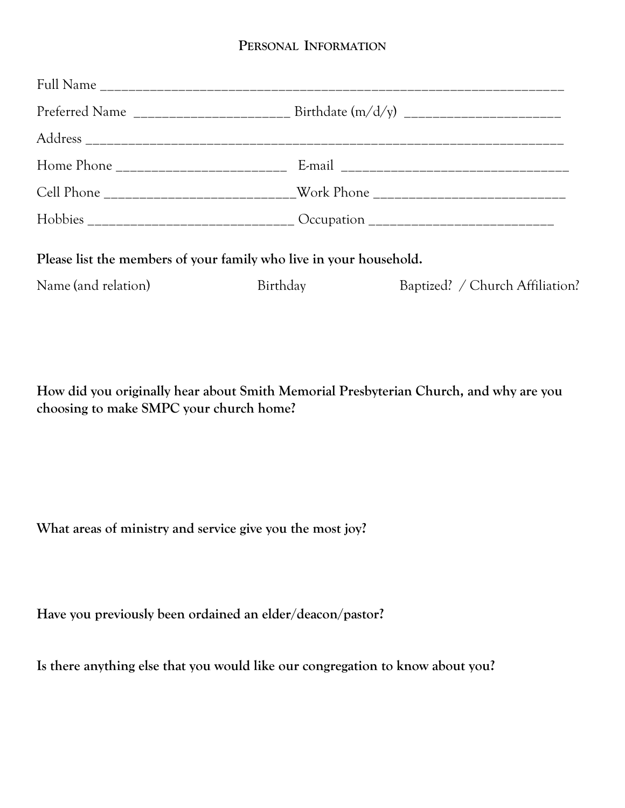## **PERSONAL INFORMATION**

| Cell Phone __________________________Work Phone ________________________________ |                 |                                 |  |  |  |
|----------------------------------------------------------------------------------|-----------------|---------------------------------|--|--|--|
|                                                                                  |                 |                                 |  |  |  |
| Please list the members of your family who live in your household.               |                 |                                 |  |  |  |
| Name (and relation)                                                              | <b>Birthday</b> | Baptized? / Church Affiliation? |  |  |  |

**How did you originally hear about Smith Memorial Presbyterian Church, and why are you choosing to make SMPC your church home?**

**What areas of ministry and service give you the most joy?**

**Have you previously been ordained an elder/deacon/pastor?**

**Is there anything else that you would like our congregation to know about you?**